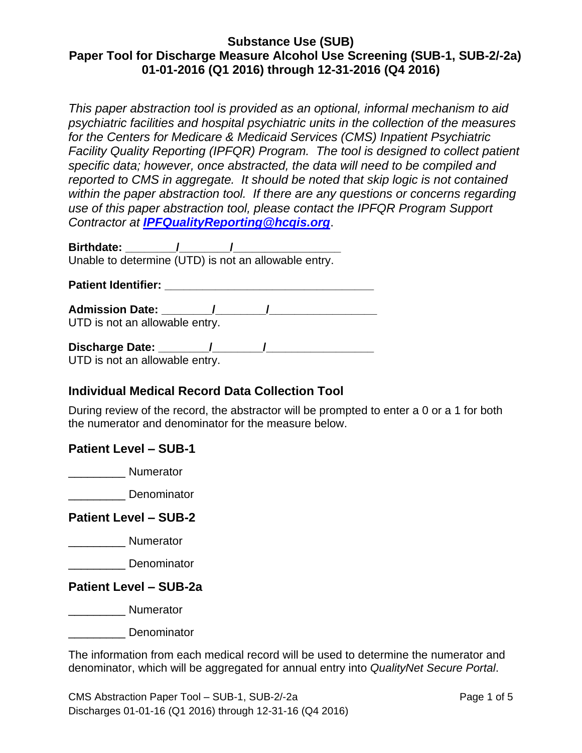*This paper abstraction tool is provided as an optional, informal mechanism to aid psychiatric facilities and hospital psychiatric units in the collection of the measures for the Centers for Medicare & Medicaid Services (CMS) Inpatient Psychiatric Facility Quality Reporting (IPFQR) Program. The tool is designed to collect patient specific data; however, once abstracted, the data will need to be compiled and reported to CMS in aggregate. It should be noted that skip logic is not contained within the paper abstraction tool. If there are any questions or concerns regarding use of this paper abstraction tool, please contact the IPFQR Program Support Contractor at [IPFQualityReporting@hcqis.org](mailto:IPFQualityReporting@hcqis.org)*.

**Birthdate: \_\_\_\_\_\_\_\_/\_\_\_\_\_\_\_\_/\_\_\_\_\_\_\_\_\_\_\_\_\_\_\_\_\_**  Unable to determine (UTD) is not an allowable entry.

**Patient Identifier: Constanting the Constanting of August** 2014 **Constanting the Constanting Constanting Constanting Constanting Constanting Constanting Constanting Constanting Constanting Constanting Constanting Consta** 

**Admission Date: \_\_\_\_\_\_\_\_/\_\_\_\_\_\_\_\_/\_\_\_\_\_\_\_\_\_\_\_\_\_\_\_\_\_** UTD is not an allowable entry.

**Discharge Date: \_\_\_\_\_\_\_\_/\_\_\_\_\_\_\_\_/\_\_\_\_\_\_\_\_\_\_\_\_\_\_\_\_\_**  UTD is not an allowable entry.

# **Individual Medical Record Data Collection Tool**

During review of the record, the abstractor will be prompted to enter a 0 or a 1 for both the numerator and denominator for the measure below.

## **Patient Level – SUB-1**

\_\_\_\_\_\_\_\_\_ Numerator

\_\_\_\_\_\_\_\_\_ Denominator

## **Patient Level – SUB-2**

\_\_\_\_\_\_\_\_\_ Numerator

\_\_\_\_\_\_\_\_\_ Denominator

## **Patient Level – SUB-2a**

\_\_\_\_\_\_\_\_\_ Numerator

\_\_\_\_\_\_\_\_\_ Denominator

The information from each medical record will be used to determine the numerator and denominator, which will be aggregated for annual entry into *QualityNet Secure Portal*.

CMS Abstraction Paper Tool – SUB-1, SUB-2/-2a Page 1 of 5 Discharges 01-01-16 (Q1 2016) through 12-31-16 (Q4 2016)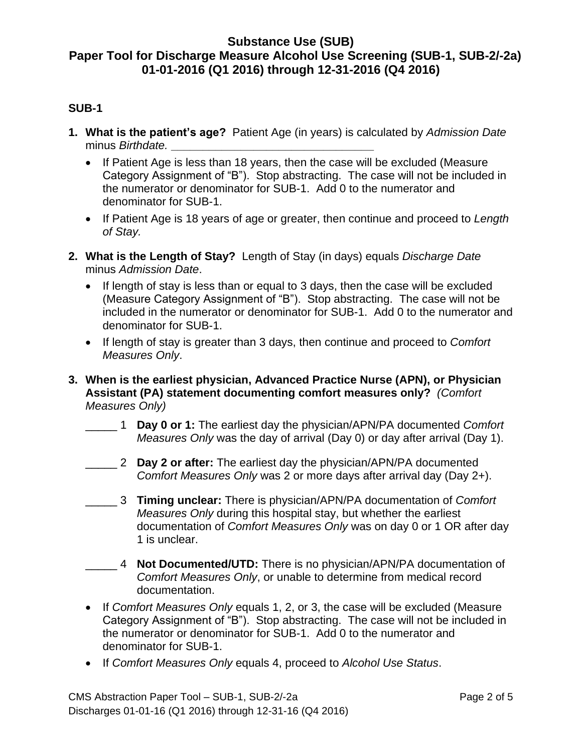### **SUB-1**

- **1. What is the patient's age?** Patient Age (in years) is calculated by *Admission Date* minus *Birthdate.* **\_\_\_\_\_\_\_\_\_\_\_\_\_\_\_\_\_\_\_\_\_\_\_\_\_\_\_\_\_\_\_\_**
	- If Patient Age is less than 18 years, then the case will be excluded (Measure Category Assignment of "B"). Stop abstracting. The case will not be included in the numerator or denominator for SUB-1. Add 0 to the numerator and denominator for SUB-1.
	- If Patient Age is 18 years of age or greater, then continue and proceed to *Length of Stay.*
- **2. What is the Length of Stay?** Length of Stay (in days) equals *Discharge Date* minus *Admission Date*.
	- If length of stay is less than or equal to 3 days, then the case will be excluded (Measure Category Assignment of "B"). Stop abstracting. The case will not be included in the numerator or denominator for SUB-1. Add 0 to the numerator and denominator for SUB-1.
	- If length of stay is greater than 3 days, then continue and proceed to *Comfort Measures Only*.
- **3. When is the earliest physician, Advanced Practice Nurse (APN), or Physician Assistant (PA) statement documenting comfort measures only?** *(Comfort Measures Only)*
	- \_\_\_\_\_ 1 **Day 0 or 1:** The earliest day the physician/APN/PA documented *Comfort Measures Only* was the day of arrival (Day 0) or day after arrival (Day 1).
	- \_\_\_\_\_ 2 **Day 2 or after:** The earliest day the physician/APN/PA documented *Comfort Measures Only* was 2 or more days after arrival day (Day 2+).
	- \_\_\_\_\_ 3 **Timing unclear:** There is physician/APN/PA documentation of *Comfort Measures Only* during this hospital stay, but whether the earliest documentation of *Comfort Measures Only* was on day 0 or 1 OR after day 1 is unclear.
	- \_\_\_\_\_ 4 **Not Documented/UTD:** There is no physician/APN/PA documentation of *Comfort Measures Only*, or unable to determine from medical record documentation.
	- If *Comfort Measures Only* equals 1, 2, or 3, the case will be excluded (Measure Category Assignment of "B"). Stop abstracting. The case will not be included in the numerator or denominator for SUB-1. Add 0 to the numerator and denominator for SUB-1.
	- If *Comfort Measures Only* equals 4, proceed to *Alcohol Use Status*.

CMS Abstraction Paper Tool – SUB-1, SUB-2/-2a Page 2 of 5 Discharges 01-01-16 (Q1 2016) through 12-31-16 (Q4 2016)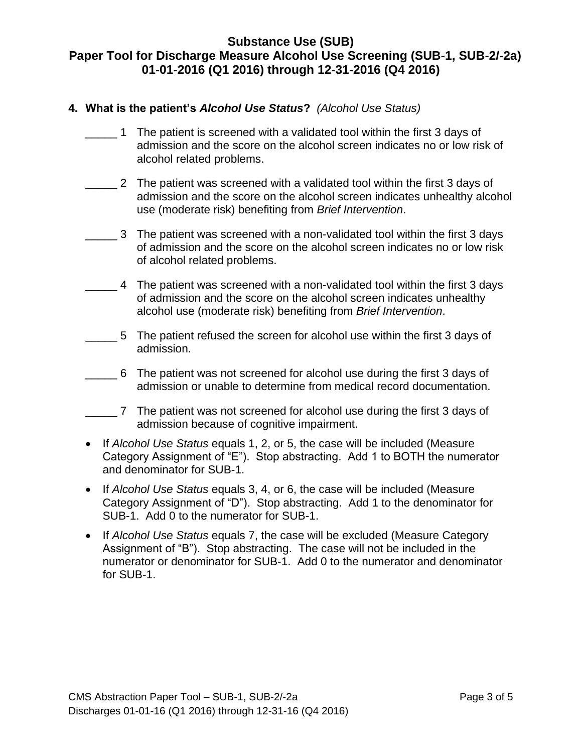#### **4. What is the patient's** *Alcohol Use Status***?** *(Alcohol Use Status)*

- \_\_\_\_\_ 1 The patient is screened with a validated tool within the first 3 days of admission and the score on the alcohol screen indicates no or low risk of alcohol related problems.
- \_\_\_\_\_ 2 The patient was screened with a validated tool within the first 3 days of admission and the score on the alcohol screen indicates unhealthy alcohol use (moderate risk) benefiting from *Brief Intervention*.
- \_\_\_\_\_ 3 The patient was screened with a non-validated tool within the first 3 days of admission and the score on the alcohol screen indicates no or low risk of alcohol related problems.
- \_\_\_\_\_ 4 The patient was screened with a non-validated tool within the first 3 days of admission and the score on the alcohol screen indicates unhealthy alcohol use (moderate risk) benefiting from *Brief Intervention*.
- \_\_\_\_\_ 5 The patient refused the screen for alcohol use within the first 3 days of admission.
- \_\_\_\_\_ 6 The patient was not screened for alcohol use during the first 3 days of admission or unable to determine from medical record documentation.
- \_\_\_\_\_ 7 The patient was not screened for alcohol use during the first 3 days of admission because of cognitive impairment.
- If *Alcohol Use Status* equals 1, 2, or 5, the case will be included (Measure Category Assignment of "E"). Stop abstracting. Add 1 to BOTH the numerator and denominator for SUB-1.
- If *Alcohol Use Status* equals 3, 4, or 6, the case will be included (Measure Category Assignment of "D"). Stop abstracting. Add 1 to the denominator for SUB-1. Add 0 to the numerator for SUB-1.
- If *Alcohol Use Status* equals 7, the case will be excluded (Measure Category Assignment of "B"). Stop abstracting. The case will not be included in the numerator or denominator for SUB-1. Add 0 to the numerator and denominator for SUB-1.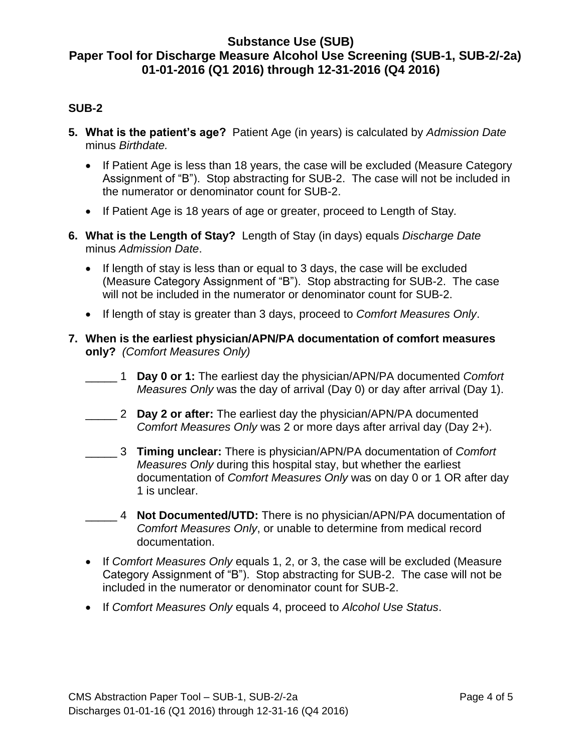#### **SUB-2**

- **5. What is the patient's age?** Patient Age (in years) is calculated by *Admission Date* minus *Birthdate.*
	- If Patient Age is less than 18 years, the case will be excluded (Measure Category Assignment of "B"). Stop abstracting for SUB-2. The case will not be included in the numerator or denominator count for SUB-2.
	- If Patient Age is 18 years of age or greater, proceed to Length of Stay*.*
- **6. What is the Length of Stay?** Length of Stay (in days) equals *Discharge Date* minus *Admission Date*.
	- If length of stay is less than or equal to 3 days, the case will be excluded (Measure Category Assignment of "B"). Stop abstracting for SUB-2. The case will not be included in the numerator or denominator count for SUB-2.
	- If length of stay is greater than 3 days, proceed to *Comfort Measures Only*.
- **7. When is the earliest physician/APN/PA documentation of comfort measures only?** *(Comfort Measures Only)*
	- \_\_\_\_\_ 1 **Day 0 or 1:** The earliest day the physician/APN/PA documented *Comfort Measures Only* was the day of arrival (Day 0) or day after arrival (Day 1).
	- \_\_\_\_\_ 2 **Day 2 or after:** The earliest day the physician/APN/PA documented *Comfort Measures Only* was 2 or more days after arrival day (Day 2+).
	- \_\_\_\_\_ 3 **Timing unclear:** There is physician/APN/PA documentation of *Comfort Measures Only* during this hospital stay, but whether the earliest documentation of *Comfort Measures Only* was on day 0 or 1 OR after day 1 is unclear.
	- \_\_\_\_\_ 4 **Not Documented/UTD:** There is no physician/APN/PA documentation of *Comfort Measures Only*, or unable to determine from medical record documentation.
	- If *Comfort Measures Only* equals 1, 2, or 3, the case will be excluded (Measure Category Assignment of "B"). Stop abstracting for SUB-2. The case will not be included in the numerator or denominator count for SUB-2.
	- If *Comfort Measures Only* equals 4, proceed to *Alcohol Use Status*.